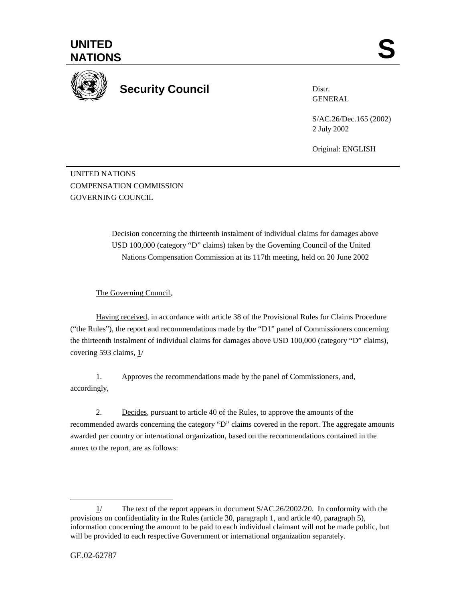

## **Security Council**

Distr. GENERAL

S/AC.26/Dec.165 (2002) 2 July 2002

Original: ENGLISH

UNITED NATIONS COMPENSATION COMMISSION GOVERNING COUNCIL

> Decision concerning the thirteenth instalment of individual claims for damages above USD 100,000 (category "D" claims) taken by the Governing Council of the United Nations Compensation Commission at its 117th meeting, held on 20 June 2002

The Governing Council,

Having received, in accordance with article 38 of the Provisional Rules for Claims Procedure ("the Rules"), the report and recommendations made by the "D1" panel of Commissioners concerning the thirteenth instalment of individual claims for damages above USD 100,000 (category "D" claims), covering 593 claims, 1/

1. Approves the recommendations made by the panel of Commissioners, and, accordingly,

2. Decides, pursuant to article 40 of the Rules, to approve the amounts of the recommended awards concerning the category "D" claims covered in the report. The aggregate amounts awarded per country or international organization, based on the recommendations contained in the annex to the report, are as follows:

l

<sup>1/</sup> The text of the report appears in document S/AC.26/2002/20. In conformity with the provisions on confidentiality in the Rules (article 30, paragraph 1, and article 40, paragraph 5), information concerning the amount to be paid to each individual claimant will not be made public, but will be provided to each respective Government or international organization separately.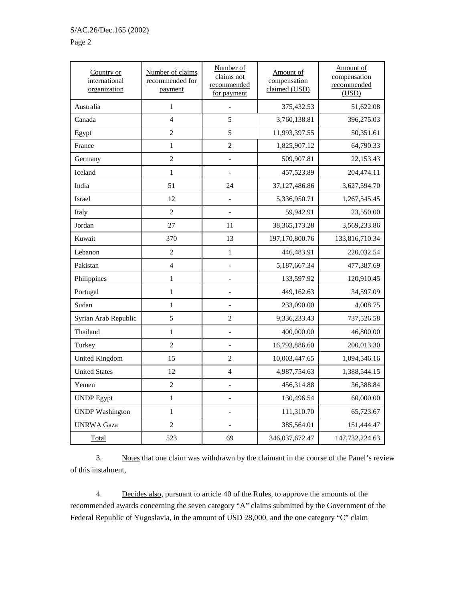## Page 2

| Country or<br>international<br>organization | Number of claims<br>recommended for<br>payment | Number of<br>claims not<br>recommended<br>for payment | Amount of<br>compensation<br>claimed (USD) | Amount of<br>compensation<br>recommended<br>(USD) |
|---------------------------------------------|------------------------------------------------|-------------------------------------------------------|--------------------------------------------|---------------------------------------------------|
| Australia                                   | $\mathbf{1}$                                   |                                                       | 375,432.53                                 | 51,622.08                                         |
| Canada                                      | $\overline{4}$                                 | 5                                                     | 3,760,138.81                               | 396,275.03                                        |
| Egypt                                       | $\overline{c}$                                 | 5                                                     | 11,993,397.55                              | 50,351.61                                         |
| France                                      | $\mathbf{1}$                                   | $\overline{2}$                                        | 1,825,907.12                               | 64,790.33                                         |
| Germany                                     | $\overline{c}$                                 |                                                       | 509,907.81                                 | 22,153.43                                         |
| Iceland                                     | $\mathbf{1}$                                   |                                                       | 457,523.89                                 | 204,474.11                                        |
| India                                       | 51                                             | 24                                                    | 37,127,486.86                              | 3,627,594.70                                      |
| Israel                                      | 12                                             |                                                       | 5,336,950.71                               | 1,267,545.45                                      |
| Italy                                       | $\overline{c}$                                 |                                                       | 59,942.91                                  | 23,550.00                                         |
| Jordan                                      | 27                                             | 11                                                    | 38, 365, 173. 28                           | 3,569,233.86                                      |
| Kuwait                                      | 370                                            | 13                                                    | 197,170,800.76                             | 133,816,710.34                                    |
| Lebanon                                     | 2                                              | $\mathbf{1}$                                          | 446,483.91                                 | 220,032.54                                        |
| Pakistan                                    | $\overline{4}$                                 |                                                       | 5,187,667.34                               | 477,387.69                                        |
| Philippines                                 | $\mathbf{1}$                                   | $\overline{a}$                                        | 133,597.92                                 | 120,910.45                                        |
| Portugal                                    | $\mathbf{1}$                                   | $\overline{\phantom{0}}$                              | 449,162.63                                 | 34,597.09                                         |
| Sudan                                       | $\mathbf{1}$                                   |                                                       | 233,090.00                                 | 4,008.75                                          |
| Syrian Arab Republic                        | 5                                              | $\overline{2}$                                        | 9,336,233.43                               | 737,526.58                                        |
| Thailand                                    | $\mathbf{1}$                                   |                                                       | 400,000.00                                 | 46,800.00                                         |
| Turkey                                      | $\overline{2}$                                 |                                                       | 16,793,886.60                              | 200,013.30                                        |
| <b>United Kingdom</b>                       | 15                                             | $\overline{2}$                                        | 10,003,447.65                              | 1,094,546.16                                      |
| <b>United States</b>                        | 12                                             | $\overline{4}$                                        | 4,987,754.63                               | 1,388,544.15                                      |
| Yemen                                       | $\overline{c}$                                 |                                                       | 456,314.88                                 | 36,388.84                                         |
| <b>UNDP</b> Egypt                           | $\mathbf{1}$                                   |                                                       | 130,496.54                                 | 60,000.00                                         |
| <b>UNDP</b> Washington                      | $\mathbf{1}$                                   |                                                       | 111,310.70                                 | 65,723.67                                         |
| <b>UNRWA Gaza</b>                           | $\overline{c}$                                 |                                                       | 385,564.01                                 | 151,444.47                                        |
| Total                                       | 523                                            | 69                                                    | 346,037,672.47                             | 147,732,224.63                                    |

3. Notes that one claim was withdrawn by the claimant in the course of the Panel's review of this instalment,

4. Decides also, pursuant to article 40 of the Rules, to approve the amounts of the recommended awards concerning the seven category "A" claims submitted by the Government of the Federal Republic of Yugoslavia, in the amount of USD 28,000, and the one category "C" claim